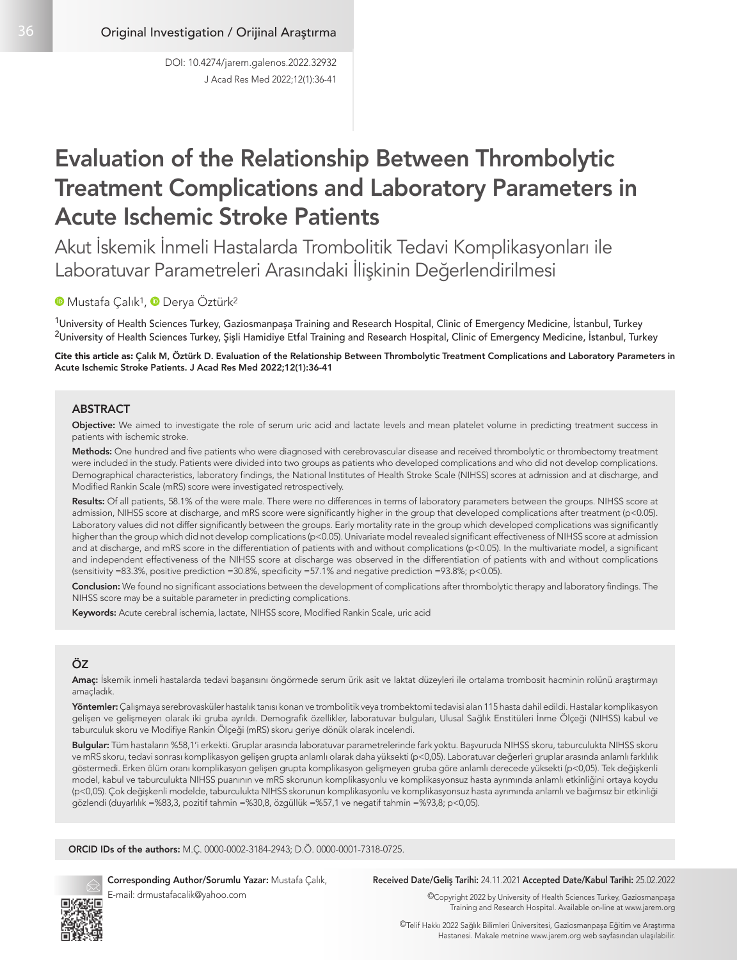# Evaluation of the Relationship Between Thrombolytic Treatment Complications and Laboratory Parameters in Acute Ischemic Stroke Patients

Akut İskemik İnmeli Hastalarda Trombolitik Tedavi Komplikasyonları ile Laboratuvar Parametreleri Arasındaki İlişkinin Değerlendirilmesi

## **MustafaCalık<sup>1</sup>, ODerya Öztürk<sup>2</sup>**

<sup>1</sup>University of Health Sciences Turkey, Gaziosmanpaşa Training and Research Hospital, Clinic of Emergency Medicine, İstanbul, Turkey <sup>2</sup>University of Health Sciences Turkey, Şişli Hamidiye Etfal Training and Research Hospital, Clinic of Emergency Medicine, İstanbul, Turkey

Cite this article as: Çalık M, Öztürk D. Evaluation of the Relationship Between Thrombolytic Treatment Complications and Laboratory Parameters in Acute Ischemic Stroke Patients. J Acad Res Med 2022;12(1):36-41

#### ABSTRACT

Objective: We aimed to investigate the role of serum uric acid and lactate levels and mean platelet volume in predicting treatment success in patients with ischemic stroke.

Methods: One hundred and five patients who were diagnosed with cerebrovascular disease and received thrombolytic or thrombectomy treatment were included in the study. Patients were divided into two groups as patients who developed complications and who did not develop complications. Demographical characteristics, laboratory findings, the National Institutes of Health Stroke Scale (NIHSS) scores at admission and at discharge, and Modified Rankin Scale (mRS) score were investigated retrospectively.

Results: Of all patients, 58.1% of the were male. There were no differences in terms of laboratory parameters between the groups. NIHSS score at admission, NIHSS score at discharge, and mRS score were significantly higher in the group that developed complications after treatment (p<0.05). Laboratory values did not differ significantly between the groups. Early mortality rate in the group which developed complications was significantly higher than the group which did not develop complications (p<0.05). Univariate model revealed significant effectiveness of NIHSS score at admission and at discharge, and mRS score in the differentiation of patients with and without complications (p<0.05). In the multivariate model, a significant and independent effectiveness of the NIHSS score at discharge was observed in the differentiation of patients with and without complications (sensitivity =83.3%, positive prediction =30.8%, specificity =57.1% and negative prediction =93.8%; p<0.05).

Conclusion: We found no significant associations between the development of complications after thrombolytic therapy and laboratory findings. The NIHSS score may be a suitable parameter in predicting complications.

Keywords: Acute cerebral ischemia, lactate, NIHSS score, Modified Rankin Scale, uric acid

## ÖZ

Amaç: İskemik inmeli hastalarda tedavi başarısını öngörmede serum ürik asit ve laktat düzeyleri ile ortalama trombosit hacminin rolünü araştırmayı amaçladık.

Yöntemler: Çalışmaya serebrovasküler hastalık tanısı konan ve trombolitik veya trombektomi tedavisi alan 115 hasta dahil edildi. Hastalar komplikasyon gelişen ve gelişmeyen olarak iki gruba ayrıldı. Demografik özellikler, laboratuvar bulguları, Ulusal Sağlık Enstitüleri İnme Ölçeği (NIHSS) kabul ve taburculuk skoru ve Modifiye Rankin Ölçeği (mRS) skoru geriye dönük olarak incelendi.

Bulgular: Tüm hastaların %58,1'i erkekti. Gruplar arasında laboratuvar parametrelerinde fark yoktu. Başvuruda NIHSS skoru, taburculukta NIHSS skoru ve mRS skoru, tedavi sonrası komplikasyon gelişen grupta anlamlı olarak daha yüksekti (p<0,05). Laboratuvar değerleri gruplar arasında anlamlı farklılık göstermedi. Erken ölüm oranı komplikasyon gelişen grupta komplikasyon gelişmeyen gruba göre anlamlı derecede yüksekti (p<0,05). Tek değişkenli model, kabul ve taburculukta NIHSS puanının ve mRS skorunun komplikasyonlu ve komplikasyonsuz hasta ayrımında anlamlı etkinliğini ortaya koydu (p<0,05). Çok değişkenli modelde, taburculukta NIHSS skorunun komplikasyonlu ve komplikasyonsuz hasta ayrımında anlamlı ve bağımsız bir etkinliği gözlendi (duyarlılık =%83,3, pozitif tahmin =%30,8, özgüllük =%57,1 ve negatif tahmin =%93,8; p<0,05).

ORCID IDs of the authors: M.Ç. 0000-0002-3184-2943; D.Ö. 0000-0001-7318-0725.



Corresponding Author/Sorumlu Yazar: Mustafa Çalık, E-mail: drmustafacalik@yahoo.com

#### Received Date/Geliş Tarihi: 24.11.2021 Accepted Date/Kabul Tarihi: 25.02.2022

©Copyright 2022 by University of Health Sciences Turkey, Gaziosmanpaşa Training and Research Hospital. Available on-line at www.jarem.org

©Telif Hakkı 2022 Sağlık Bilimleri Üniversitesi, Gaziosmanpaşa Eğitim ve Araştırma Hastanesi. Makale metnine www.jarem.org web sayfasından ulaşılabilir.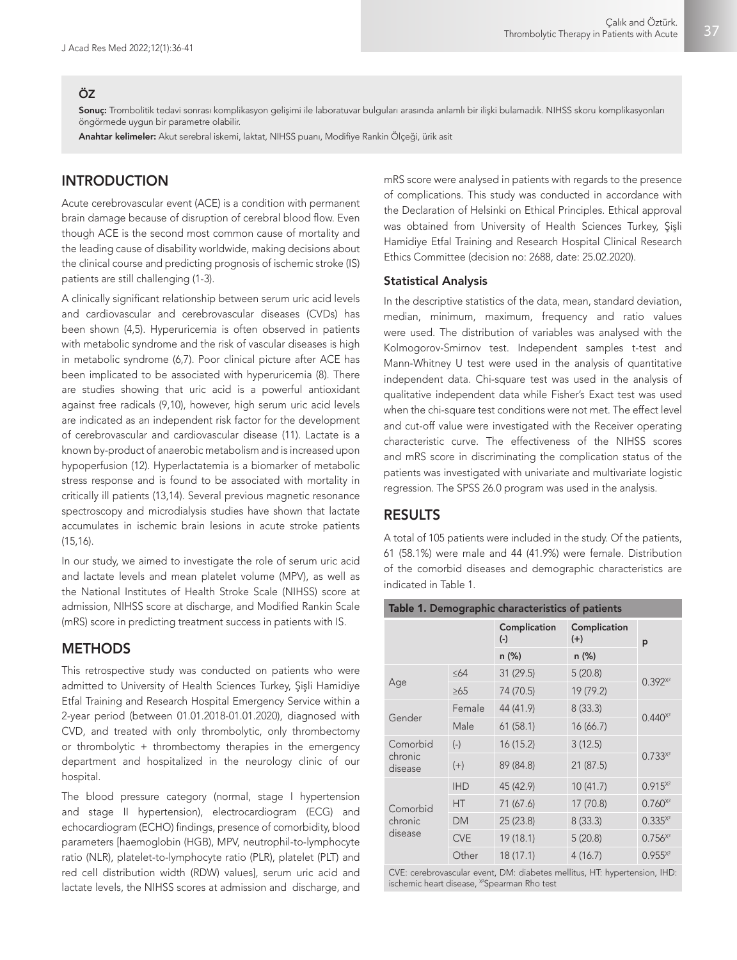#### ÖZ

Sonuç: Trombolitik tedavi sonrası komplikasyon gelişimi ile laboratuvar bulguları arasında anlamlı bir ilişki bulamadık. NIHSS skoru komplikasyonları öngörmede uygun bir parametre olabilir.

Anahtar kelimeler: Akut serebral iskemi, laktat, NIHSS puanı, Modifiye Rankin Ölçeği, ürik asit

# INTRODUCTION

Acute cerebrovascular event (ACE) is a condition with permanent brain damage because of disruption of cerebral blood flow. Even though ACE is the second most common cause of mortality and the leading cause of disability worldwide, making decisions about the clinical course and predicting prognosis of ischemic stroke (IS) patients are still challenging (1-3).

A clinically significant relationship between serum uric acid levels and cardiovascular and cerebrovascular diseases (CVDs) has been shown (4,5). Hyperuricemia is often observed in patients with metabolic syndrome and the risk of vascular diseases is high in metabolic syndrome (6,7). Poor clinical picture after ACE has been implicated to be associated with hyperuricemia (8). There are studies showing that uric acid is a powerful antioxidant against free radicals (9,10), however, high serum uric acid levels are indicated as an independent risk factor for the development of cerebrovascular and cardiovascular disease (11). Lactate is a known by-product of anaerobic metabolism and is increased upon hypoperfusion (12). Hyperlactatemia is a biomarker of metabolic stress response and is found to be associated with mortality in critically ill patients (13,14). Several previous magnetic resonance spectroscopy and microdialysis studies have shown that lactate accumulates in ischemic brain lesions in acute stroke patients (15,16).

In our study, we aimed to investigate the role of serum uric acid and lactate levels and mean platelet volume (MPV), as well as the National Institutes of Health Stroke Scale (NIHSS) score at admission, NIHSS score at discharge, and Modified Rankin Scale (mRS) score in predicting treatment success in patients with IS.

## **METHODS**

This retrospective study was conducted on patients who were admitted to University of Health Sciences Turkey, Şişli Hamidiye Etfal Training and Research Hospital Emergency Service within a 2-year period (between 01.01.2018-01.01.2020), diagnosed with CVD, and treated with only thrombolytic, only thrombectomy or thrombolytic + thrombectomy therapies in the emergency department and hospitalized in the neurology clinic of our hospital.

The blood pressure category (normal, stage I hypertension and stage II hypertension), electrocardiogram (ECG) and echocardiogram (ECHO) findings, presence of comorbidity, blood parameters [haemoglobin (HGB), MPV, neutrophil-to-lymphocyte ratio (NLR), platelet-to-lymphocyte ratio (PLR), platelet (PLT) and red cell distribution width (RDW) values], serum uric acid and lactate levels, the NIHSS scores at admission and discharge, and mRS score were analysed in patients with regards to the presence of complications. This study was conducted in accordance with the Declaration of Helsinki on Ethical Principles. Ethical approval was obtained from University of Health Sciences Turkey, Şişli Hamidiye Etfal Training and Research Hospital Clinical Research Ethics Committee (decision no: 2688, date: 25.02.2020).

#### Statistical Analysis

In the descriptive statistics of the data, mean, standard deviation, median, minimum, maximum, frequency and ratio values were used. The distribution of variables was analysed with the Kolmogorov-Smirnov test. Independent samples t-test and Mann-Whitney U test were used in the analysis of quantitative independent data. Chi-square test was used in the analysis of qualitative independent data while Fisher's Exact test was used when the chi-square test conditions were not met. The effect level and cut-off value were investigated with the Receiver operating characteristic curve. The effectiveness of the NIHSS scores and mRS score in discriminating the complication status of the patients was investigated with univariate and multivariate logistic regression. The SPSS 26.0 program was used in the analysis.

#### RESULTS

A total of 105 patients were included in the study. Of the patients, 61 (58.1%) were male and 44 (41.9%) were female. Distribution of the comorbid diseases and demographic characteristics are indicated in Table 1.

|  | Table 1. Demographic characteristics of patients |            |                       |                       |             |  |  |
|--|--------------------------------------------------|------------|-----------------------|-----------------------|-------------|--|--|
|  |                                                  |            | Complication<br>$(-)$ | Complication<br>$(+)$ | p           |  |  |
|  |                                                  |            | n (%)                 | n (%)                 |             |  |  |
|  | Age                                              | $\leq 64$  | 31(29.5)              | 5(20.8)               | $0.392^{x}$ |  |  |
|  |                                                  | $\geq 65$  | 74 (70.5)             | 19 (79.2)             |             |  |  |
|  | Gender                                           | Female     | 44 (41.9)             | 8(33.3)               | $0.440^{x}$ |  |  |
|  |                                                  | Male       | 61(58.1)              | 16(66.7)              |             |  |  |
|  | Comorbid<br>chronic<br>disease                   | $(-)$      | 16(15.2)              | 3(12.5)               |             |  |  |
|  |                                                  | $(+)$      | 89 (84.8)             | 21(87.5)              | $0.733^{x}$ |  |  |
|  | Comorbid<br>chronic<br>disease                   | <b>IHD</b> | 45 (42.9)             | 10(41.7)              | $0.915^{x}$ |  |  |
|  |                                                  | HT.        | 71 (67.6)             | 17 (70.8)             | $0.760^{x}$ |  |  |
|  |                                                  | <b>DM</b>  | 25(23.8)              | 8(33.3)               | $0.335^{x}$ |  |  |
|  |                                                  | <b>CVE</b> | 19 (18.1)             | 5(20.8)               | $0.756^{x}$ |  |  |
|  |                                                  | Other      | 18(17.1)              | 4(16.7)               | $0.955^{x}$ |  |  |

CVE: cerebrovascular event, DM: diabetes mellitus, HT: hypertension, IHD: ischemic heart disease, <sup>x2</sup>Spearman Rho test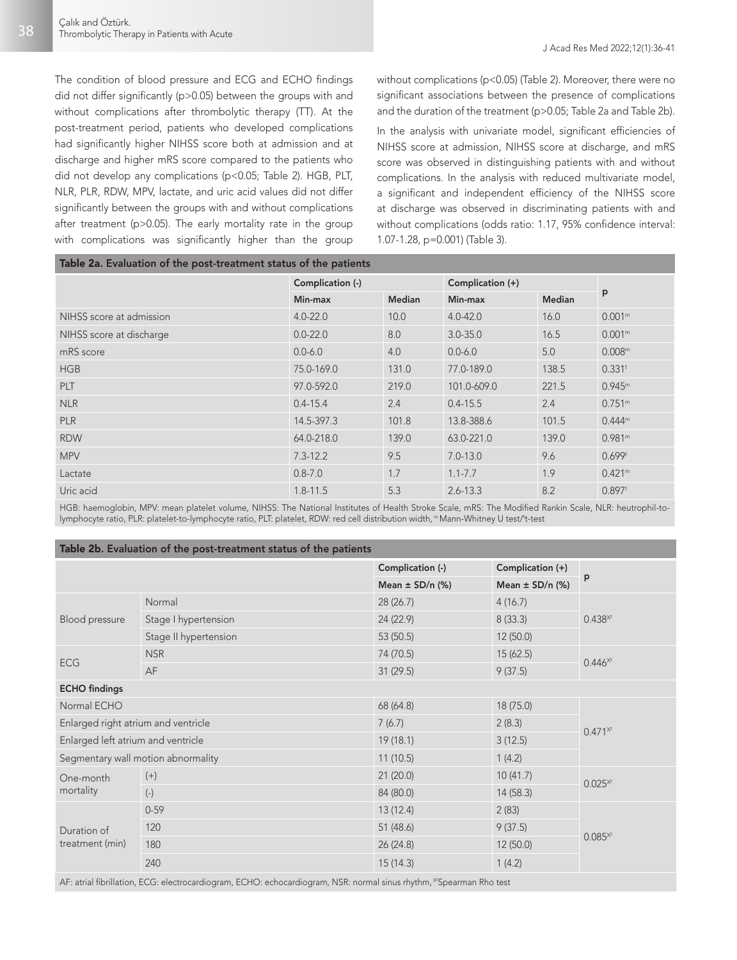38

The condition of blood pressure and ECG and ECHO findings did not differ significantly (p>0.05) between the groups with and without complications after thrombolytic therapy (TT). At the post-treatment period, patients who developed complications had significantly higher NIHSS score both at admission and at discharge and higher mRS score compared to the patients who did not develop any complications (p<0.05; Table 2). HGB, PLT, NLR, PLR, RDW, MPV, lactate, and uric acid values did not differ significantly between the groups with and without complications after treatment (p>0.05). The early mortality rate in the group with complications was significantly higher than the group

without complications (p<0.05) (Table 2). Moreover, there were no significant associations between the presence of complications and the duration of the treatment (p>0.05; Table 2a and Table 2b).

In the analysis with univariate model, significant efficiencies of NIHSS score at admission, NIHSS score at discharge, and mRS score was observed in distinguishing patients with and without complications. In the analysis with reduced multivariate model, a significant and independent efficiency of the NIHSS score at discharge was observed in discriminating patients with and without complications (odds ratio: 1.17, 95% confidence interval: 1.07-1.28, p=0.001) (Table 3).

| Table 2a. Evaluation of the post-treatment status of the patients |                  |               |                  |               |                      |  |  |
|-------------------------------------------------------------------|------------------|---------------|------------------|---------------|----------------------|--|--|
|                                                                   | Complication (-) |               | Complication (+) |               |                      |  |  |
|                                                                   | Min-max          | <b>Median</b> | Min-max          | <b>Median</b> | p                    |  |  |
| NIHSS score at admission                                          | $4.0 - 22.0$     | 10.0          | $4.0 - 42.0$     | 16.0          | 0.001 <sup>m</sup>   |  |  |
| NIHSS score at discharge                                          | $0.0 - 22.0$     | 8.0           | $3.0 - 35.0$     | 16.5          | 0.001 <sup>m</sup>   |  |  |
| mRS score                                                         | $0.0 - 6.0$      | 4.0           | $0.0 - 6.0$      | 5.0           | 0.008 <sup>m</sup>   |  |  |
| <b>HGB</b>                                                        | 75.0-169.0       | 131.0         | 77.0-189.0       | 138.5         | $0.331$ <sup>t</sup> |  |  |
| <b>PLT</b>                                                        | 97.0-592.0       | 219.0         | 101.0-609.0      | 221.5         | 0.945 <sup>m</sup>   |  |  |
| <b>NLR</b>                                                        | $0.4 - 15.4$     | 2.4           | $0.4 - 15.5$     | 2.4           | 0.751 <sup>m</sup>   |  |  |
| <b>PLR</b>                                                        | 14.5-397.3       | 101.8         | 13.8-388.6       | 101.5         | $0.444^m$            |  |  |
| <b>RDW</b>                                                        | 64.0-218.0       | 139.0         | 63.0-221.0       | 139.0         | 0.981 <sup>m</sup>   |  |  |
| <b>MPV</b>                                                        | $7.3 - 12.2$     | 9.5           | $7.0 - 13.0$     | 9.6           | 0.699 <sup>t</sup>   |  |  |
| Lactate                                                           | $0.8 - 7.0$      | 1.7           | $1.1 - 7.7$      | 1.9           | 0.421 <sup>m</sup>   |  |  |
| Uric acid                                                         | $1.8 - 11.5$     | 5.3           | $2.6 - 13.3$     | 8.2           | $0.897$ <sup>t</sup> |  |  |

HGB: haemoglobin, MPV: mean platelet volume, NIHSS: The National Institutes of Health Stroke Scale, mRS: The Modified Rankin Scale, NLR: heutrophil-tolymphocyte ratio, PLR: platelet-to-lymphocyte ratio, PLT: platelet, RDW: red cell distribution width,™Mann-Whitney U test/'t-test

#### Table 2b. Evaluation of the post-treatment status of the patients

|                                     |                           | Complication (-)    | Complication (+)    |             |  |  |
|-------------------------------------|---------------------------|---------------------|---------------------|-------------|--|--|
|                                     |                           | Mean $\pm$ SD/n (%) | Mean $\pm$ SD/n (%) | p           |  |  |
|                                     | Normal                    | 28 (26.7)           | 4(16.7)             |             |  |  |
| <b>Blood pressure</b>               | Stage I hypertension      | 24 (22.9)           | 8(33.3)             | $0.438^{x}$ |  |  |
|                                     | Stage II hypertension     | 53 (50.5)           | 12 (50.0)           |             |  |  |
|                                     | <b>NSR</b>                | 74 (70.5)           | 15 (62.5)           | $0.446^{x}$ |  |  |
| ECG                                 | AF                        | 31(29.5)            | 9(37.5)             |             |  |  |
| <b>ECHO</b> findings                |                           |                     |                     |             |  |  |
| Normal ECHO                         |                           | 68 (64.8)           | 18 (75.0)           |             |  |  |
| Enlarged right atrium and ventricle |                           | 7(6.7)              | 2(8.3)              | $0.471^{x}$ |  |  |
| Enlarged left atrium and ventricle  |                           | 19(18.1)            | 3(12.5)             |             |  |  |
| Segmentary wall motion abnormality  |                           | 11(10.5)            | 1(4.2)              |             |  |  |
| One-month                           | $(+)$                     | 21(20.0)            | 10(41.7)            | $0.025^{x}$ |  |  |
| mortality                           | $\left( \text{-} \right)$ | 84 (80.0)           | 14(58.3)            |             |  |  |
|                                     | $0 - 59$                  | 13 (12.4)           | 2(83)               |             |  |  |
| Duration of                         | 120                       | 51(48.6)            | 9(37.5)             | $0.085^{x}$ |  |  |
| treatment (min)                     | 180                       | 26 (24.8)           | 12 (50.0)           |             |  |  |
|                                     | 240                       | 15(14.3)            | 1(4.2)              |             |  |  |
|                                     |                           |                     |                     |             |  |  |

AF: atrial fibrillation, ECG: electrocardiogram, ECHO: echocardiogram, NSR: normal sinus rhythm, <sup>x</sup>Spearman Rho test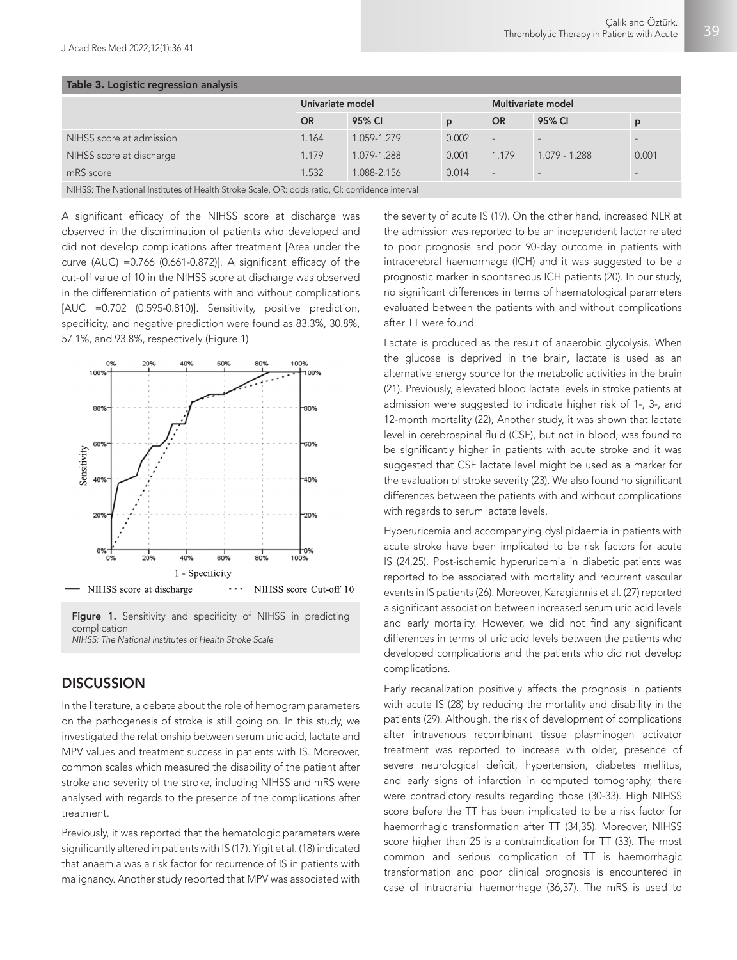| Table 3. Logistic regression analysis                                                        |                  |             |       |                          |                 |       |  |  |
|----------------------------------------------------------------------------------------------|------------------|-------------|-------|--------------------------|-----------------|-------|--|--|
|                                                                                              | Univariate model |             |       | Multivariate model       |                 |       |  |  |
|                                                                                              | OR.              | 95% CI      | D     | <b>OR</b>                | 95% CI          | p     |  |  |
| NIHSS score at admission                                                                     | 1.164            | 1.059-1.279 | 0.002 | u.                       |                 |       |  |  |
| NIHSS score at discharge                                                                     | 1.179            | 1.079-1.288 | 0.001 | 1.179                    | $1.079 - 1.288$ | 0.001 |  |  |
| mRS score                                                                                    | 1.532            | 1.088-2.156 | 0.014 | $\overline{\phantom{a}}$ |                 |       |  |  |
| NIHCS: The National Institutes of Health Stroke Scale OR: odds ratio CI: confidence interval |                  |             |       |                          |                 |       |  |  |

NIHSS: The National Institutes of Health Stroke Scale, OR: odds ratio, CI: confidence interval

A significant efficacy of the NIHSS score at discharge was observed in the discrimination of patients who developed and did not develop complications after treatment [Area under the curve (AUC) = $0.766$  (0.661-0.872)]. A significant efficacy of the cut-off value of 10 in the NIHSS score at discharge was observed in the differentiation of patients with and without complications [AUC =0.702 (0.595-0.810)]. Sensitivity, positive prediction, specificity, and negative prediction were found as 83.3%, 30.8%, 57.1%, and 93.8%, respectively (Figure 1).



Figure 1. Sensitivity and specificity of NIHSS in predicting complication

*NIHSS: The National Institutes of Health Stroke Scale*

## **DISCUSSION**

In the literature, a debate about the role of hemogram parameters on the pathogenesis of stroke is still going on. In this study, we investigated the relationship between serum uric acid, lactate and MPV values and treatment success in patients with IS. Moreover, common scales which measured the disability of the patient after stroke and severity of the stroke, including NIHSS and mRS were analysed with regards to the presence of the complications after treatment.

Previously, it was reported that the hematologic parameters were significantly altered in patients with IS (17). Yigit et al. (18) indicated that anaemia was a risk factor for recurrence of IS in patients with malignancy. Another study reported that MPV was associated with the severity of acute IS (19). On the other hand, increased NLR at the admission was reported to be an independent factor related to poor prognosis and poor 90-day outcome in patients with intracerebral haemorrhage (ICH) and it was suggested to be a prognostic marker in spontaneous ICH patients (20). In our study, no significant differences in terms of haematological parameters evaluated between the patients with and without complications after TT were found.

Lactate is produced as the result of anaerobic glycolysis. When the glucose is deprived in the brain, lactate is used as an alternative energy source for the metabolic activities in the brain (21). Previously, elevated blood lactate levels in stroke patients at admission were suggested to indicate higher risk of 1-, 3-, and 12-month mortality (22), Another study, it was shown that lactate level in cerebrospinal fluid (CSF), but not in blood, was found to be significantly higher in patients with acute stroke and it was suggested that CSF lactate level might be used as a marker for the evaluation of stroke severity (23). We also found no significant differences between the patients with and without complications with regards to serum lactate levels.

Hyperuricemia and accompanying dyslipidaemia in patients with acute stroke have been implicated to be risk factors for acute IS (24,25). Post-ischemic hyperuricemia in diabetic patients was reported to be associated with mortality and recurrent vascular events in IS patients (26). Moreover, Karagiannis et al. (27) reported a significant association between increased serum uric acid levels and early mortality. However, we did not find any significant differences in terms of uric acid levels between the patients who developed complications and the patients who did not develop complications.

Early recanalization positively affects the prognosis in patients with acute IS (28) by reducing the mortality and disability in the patients (29). Although, the risk of development of complications after intravenous recombinant tissue plasminogen activator treatment was reported to increase with older, presence of severe neurological deficit, hypertension, diabetes mellitus, and early signs of infarction in computed tomography, there were contradictory results regarding those (30-33). High NIHSS score before the TT has been implicated to be a risk factor for haemorrhagic transformation after TT (34,35). Moreover, NIHSS score higher than 25 is a contraindication for TT (33). The most common and serious complication of TT is haemorrhagic transformation and poor clinical prognosis is encountered in case of intracranial haemorrhage (36,37). The mRS is used to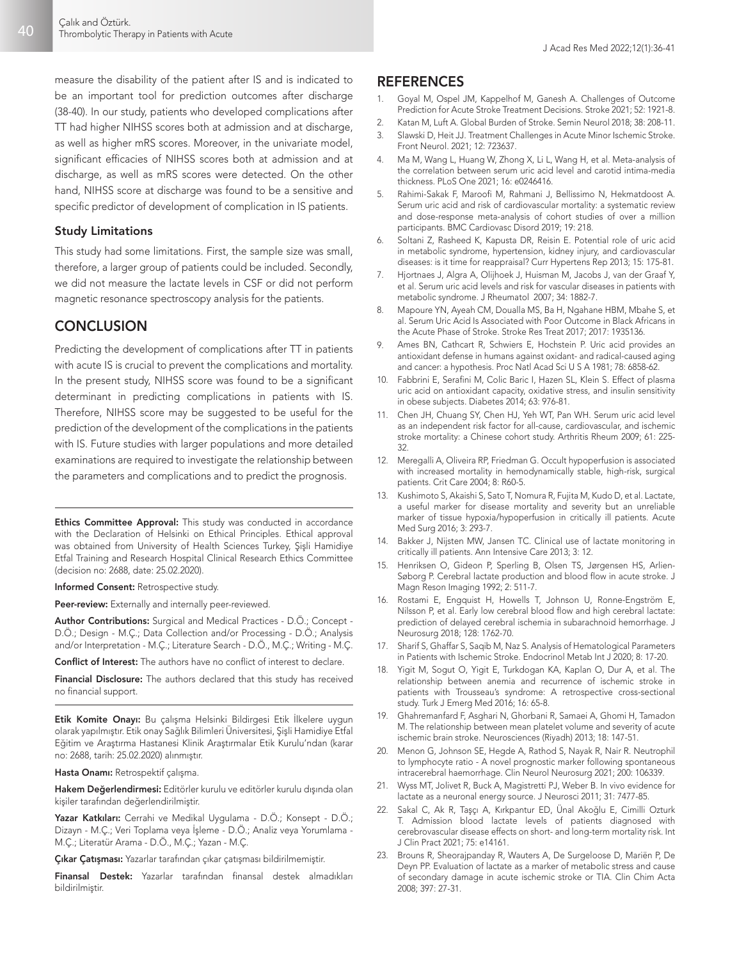measure the disability of the patient after IS and is indicated to be an important tool for prediction outcomes after discharge (38-40). In our study, patients who developed complications after TT had higher NIHSS scores both at admission and at discharge, as well as higher mRS scores. Moreover, in the univariate model, significant efficacies of NIHSS scores both at admission and at discharge, as well as mRS scores were detected. On the other hand, NIHSS score at discharge was found to be a sensitive and specific predictor of development of complication in IS patients.

#### Study Limitations

This study had some limitations. First, the sample size was small, therefore, a larger group of patients could be included. Secondly, we did not measure the lactate levels in CSF or did not perform magnetic resonance spectroscopy analysis for the patients.

## **CONCLUSION**

Predicting the development of complications after TT in patients with acute IS is crucial to prevent the complications and mortality. In the present study, NIHSS score was found to be a significant determinant in predicting complications in patients with IS. Therefore, NIHSS score may be suggested to be useful for the prediction of the development of the complications in the patients with IS. Future studies with larger populations and more detailed examinations are required to investigate the relationship between the parameters and complications and to predict the prognosis.

Ethics Committee Approval: This study was conducted in accordance with the Declaration of Helsinki on Ethical Principles. Ethical approval was obtained from University of Health Sciences Turkey, Şişli Hamidiye Etfal Training and Research Hospital Clinical Research Ethics Committee (decision no: 2688, date: 25.02.2020).

Informed Consent: Retrospective study.

Peer-review: Externally and internally peer-reviewed.

Author Contributions: Surgical and Medical Practices - D.Ö.; Concept - D.Ö.; Design - M.Ç.; Data Collection and/or Processing - D.Ö.; Analysis and/or Interpretation - M.Ç.; Literature Search - D.Ö., M.Ç.; Writing - M.Ç.

Conflict of Interest: The authors have no conflict of interest to declare.

Financial Disclosure: The authors declared that this study has received no financial support.

Etik Komite Onayı: Bu çalışma Helsinki Bildirgesi Etik İlkelere uygun olarak yapılmıştır. Etik onay Sağlık Bilimleri Üniversitesi, Şişli Hamidiye Etfal Eğitim ve Araştırma Hastanesi Klinik Araştırmalar Etik Kurulu'ndan (karar no: 2688, tarih: 25.02.2020) alınmıştır.

Hasta Onamı: Retrospektif çalışma.

Hakem Değerlendirmesi: Editörler kurulu ve editörler kurulu dışında olan kişiler tarafından değerlendirilmiştir.

Yazar Katkıları: Cerrahi ve Medikal Uygulama - D.Ö.; Konsept - D.Ö.; Dizayn - M.Ç.; Veri Toplama veya İşleme - D.Ö.; Analiz veya Yorumlama - M.Ç.; Literatür Arama - D.Ö., M.Ç.; Yazan - M.Ç.

Çıkar Çatışması: Yazarlar tarafından çıkar çatışması bildirilmemiştir.

Finansal Destek: Yazarlar tarafından finansal destek almadıkları bildirilmiştir.

### **REFERENCES**

- 1. Goyal M, Ospel JM, Kappelhof M, Ganesh A. Challenges of Outcome Prediction for Acute Stroke Treatment Decisions. Stroke 2021; 52: 1921-8.
- 2. Katan M, Luft A. Global Burden of Stroke. Semin Neurol 2018; 38: 208-11.
- 3. Slawski D, Heit JJ. Treatment Challenges in Acute Minor Ischemic Stroke. Front Neurol. 2021; 12: 723637.
- 4. Ma M, Wang L, Huang W, Zhong X, Li L, Wang H, et al. Meta-analysis of the correlation between serum uric acid level and carotid intima-media thickness. PLoS One 2021; 16: e0246416.
- 5. Rahimi-Sakak F, Maroofi M, Rahmani J, Bellissimo N, Hekmatdoost A. Serum uric acid and risk of cardiovascular mortality: a systematic review and dose-response meta-analysis of cohort studies of over a million participants. BMC Cardiovasc Disord 2019; 19: 218.
- 6. Soltani Z, Rasheed K, Kapusta DR, Reisin E. Potential role of uric acid in metabolic syndrome, hypertension, kidney injury, and cardiovascular diseases: is it time for reappraisal? Curr Hypertens Rep 2013; 15: 175-81.
- 7. Hjortnaes J, Algra A, Olijhoek J, Huisman M, Jacobs J, van der Graaf Y, et al. Serum uric acid levels and risk for vascular diseases in patients with metabolic syndrome. J Rheumatol 2007; 34: 1882-7.
- 8. Mapoure YN, Ayeah CM, Doualla MS, Ba H, Ngahane HBM, Mbahe S, et al. Serum Uric Acid Is Associated with Poor Outcome in Black Africans in the Acute Phase of Stroke. Stroke Res Treat 2017; 2017: 1935136.
- Ames BN, Cathcart R, Schwiers E, Hochstein P. Uric acid provides an antioxidant defense in humans against oxidant- and radical-caused aging and cancer: a hypothesis. Proc Natl Acad Sci U S A 1981; 78: 6858-62.
- 10. Fabbrini E, Serafini M, Colic Baric I, Hazen SL, Klein S. Effect of plasma uric acid on antioxidant capacity, oxidative stress, and insulin sensitivity in obese subjects. Diabetes 2014; 63: 976-81.
- 11. Chen JH, Chuang SY, Chen HJ, Yeh WT, Pan WH. Serum uric acid level as an independent risk factor for all-cause, cardiovascular, and ischemic stroke mortality: a Chinese cohort study. Arthritis Rheum 2009; 61: 225- 32.
- 12. Meregalli A, Oliveira RP, Friedman G. Occult hypoperfusion is associated with increased mortality in hemodynamically stable, high-risk, surgical patients. Crit Care 2004; 8: R60-5.
- 13. Kushimoto S, Akaishi S, Sato T, Nomura R, Fujita M, Kudo D, et al. Lactate, a useful marker for disease mortality and severity but an unreliable marker of tissue hypoxia/hypoperfusion in critically ill patients. Acute Med Surg 2016; 3: 293-7.
- 14. Bakker J, Nijsten MW, Jansen TC. Clinical use of lactate monitoring in critically ill patients. Ann Intensive Care 2013; 3: 12.
- 15. Henriksen O, Gideon P, Sperling B, Olsen TS, Jørgensen HS, Arlien-Søborg P. Cerebral lactate production and blood flow in acute stroke. J Magn Reson Imaging 1992; 2: 511-7.
- 16. Rostami E, Engquist H, Howells T, Johnson U, Ronne-Engström E, Nilsson P, et al. Early low cerebral blood flow and high cerebral lactate: prediction of delayed cerebral ischemia in subarachnoid hemorrhage. J Neurosurg 2018; 128: 1762-70.
- 17. Sharif S, Ghaffar S, Saqib M, Naz S. Analysis of Hematological Parameters in Patients with Ischemic Stroke. Endocrinol Metab Int J 2020; 8: 17-20.
- 18. Yigit M, Sogut O, Yigit E, Turkdogan KA, Kaplan O, Dur A, et al. The relationship between anemia and recurrence of ischemic stroke in patients with Trousseau's syndrome: A retrospective cross-sectional study. Turk J Emerg Med 2016; 16: 65-8.
- 19. Ghahremanfard F, Asghari N, Ghorbani R, Samaei A, Ghomi H, Tamadon M. The relationship between mean platelet volume and severity of acute ischemic brain stroke. Neurosciences (Riyadh) 2013; 18: 147-51.
- 20. Menon G, Johnson SE, Hegde A, Rathod S, Nayak R, Nair R. Neutrophil to lymphocyte ratio - A novel prognostic marker following spontaneous intracerebral haemorrhage. Clin Neurol Neurosurg 2021; 200: 106339.
- 21. Wyss MT, Jolivet R, Buck A, Magistretti PJ, Weber B. In vivo evidence for lactate as a neuronal energy source. J Neurosci 2011; 31: 7477-85.
- 22. Sakal C, Ak R, Taşçı A, Kırkpantur ED, Ünal Akoğlu E, Cimilli Ozturk T. Admission blood lactate levels of patients diagnosed with cerebrovascular disease effects on short- and long-term mortality risk. Int J Clin Pract 2021; 75: e14161.
- 23. Brouns R, Sheorajpanday R, Wauters A, De Surgeloose D, Mariën P, De Deyn PP. Evaluation of lactate as a marker of metabolic stress and cause of secondary damage in acute ischemic stroke or TIA. Clin Chim Acta 2008; 397: 27-31.